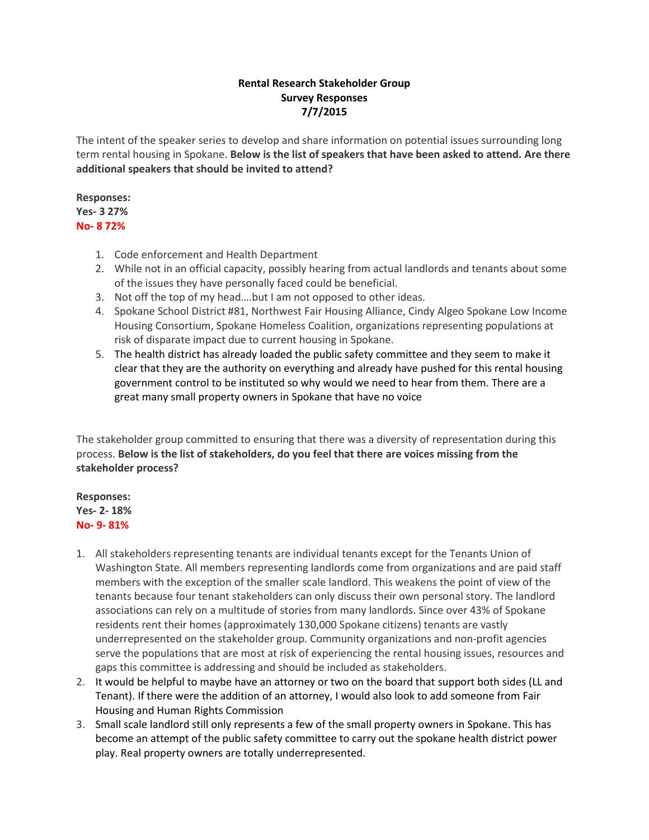# **Rental Research Stakeholder Group Survey Responses 7/7/2015**

The intent of the speaker series to develop and share information on potential issues surrounding long term rental housing in Spokane. **Below is the list of speakers that have been asked to attend. Are there additional speakers that should be invited to attend?**

## **Responses: Yes- 3 27% No- 8 72%**

- 1. Code enforcement and Health Department
- 2. While not in an official capacity, possibly hearing from actual landlords and tenants about some of the issues they have personally faced could be beneficial.
- 3. Not off the top of my head….but I am not opposed to other ideas.
- 4. Spokane School District #81, Northwest Fair Housing Alliance, Cindy Algeo Spokane Low Income Housing Consortium, Spokane Homeless Coalition, organizations representing populations at risk of disparate impact due to current housing in Spokane.
- 5. The health district has already loaded the public safety committee and they seem to make it clear that they are the authority on everything and already have pushed for this rental housing government control to be instituted so why would we need to hear from them. There are a great many small property owners in Spokane that have no voice

The stakeholder group committed to ensuring that there was a diversity of representation during this process. **Below is the list of stakeholders, do you feel that there are voices missing from the stakeholder process?** 

### **Responses: Yes- 2- 18% No- 9- 81%**

- 1. All stakeholders representing tenants are individual tenants except for the Tenants Union of Washington State. All members representing landlords come from organizations and are paid staff members with the exception of the smaller scale landlord. This weakens the point of view of the tenants because four tenant stakeholders can only discuss their own personal story. The landlord associations can rely on a multitude of stories from many landlords. Since over 43% of Spokane residents rent their homes (approximately 130,000 Spokane citizens) tenants are vastly underrepresented on the stakeholder group. Community organizations and non-profit agencies serve the populations that are most at risk of experiencing the rental housing issues, resources and gaps this committee is addressing and should be included as stakeholders.
- 2. It would be helpful to maybe have an attorney or two on the board that support both sides (LL and Tenant). If there were the addition of an attorney, I would also look to add someone from Fair Housing and Human Rights Commission
- 3. Small scale landlord still only represents a few of the small property owners in Spokane. This has become an attempt of the public safety committee to carry out the spokane health district power play. Real property owners are totally underrepresented.